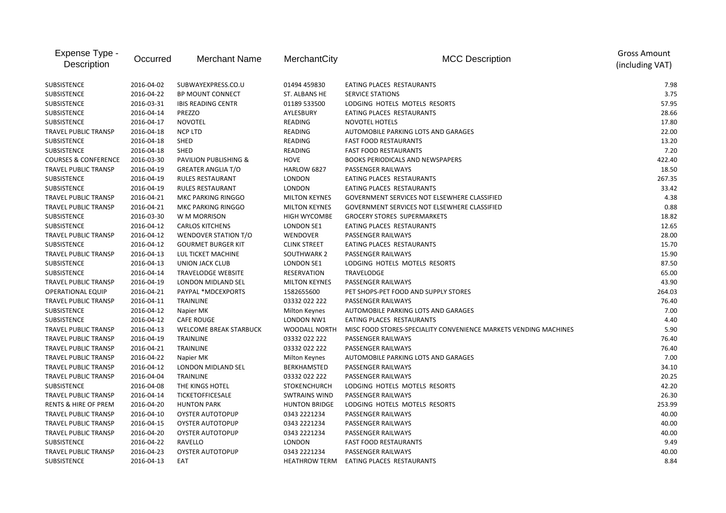| Expense Type -<br>Description   | Occurred   | <b>Merchant Name</b>             | MerchantCity         | <b>MCC Description</b>                                           | <b>Gross Amount</b><br>(including VAT) |
|---------------------------------|------------|----------------------------------|----------------------|------------------------------------------------------------------|----------------------------------------|
| <b>SUBSISTENCE</b>              | 2016-04-02 | SUBWAYEXPRESS.CO.U               | 01494 459830         | EATING PLACES RESTAURANTS                                        | 7.98                                   |
| SUBSISTENCE                     | 2016-04-22 | <b>BP MOUNT CONNECT</b>          | ST. ALBANS HE        | <b>SERVICE STATIONS</b>                                          | 3.75                                   |
| SUBSISTENCE                     | 2016-03-31 | <b>IBIS READING CENTR</b>        | 01189 533500         | LODGING HOTELS MOTELS RESORTS                                    | 57.95                                  |
| SUBSISTENCE                     | 2016-04-14 | PREZZO                           | AYLESBURY            | EATING PLACES RESTAURANTS                                        | 28.66                                  |
| SUBSISTENCE                     | 2016-04-17 | <b>NOVOTEL</b>                   | READING              | NOVOTEL HOTELS                                                   | 17.80                                  |
| TRAVEL PUBLIC TRANSP            | 2016-04-18 | <b>NCP LTD</b>                   | <b>READING</b>       | AUTOMOBILE PARKING LOTS AND GARAGES                              | 22.00                                  |
| <b>SUBSISTENCE</b>              | 2016-04-18 | <b>SHED</b>                      | <b>READING</b>       | <b>FAST FOOD RESTAURANTS</b>                                     | 13.20                                  |
| SUBSISTENCE                     | 2016-04-18 | SHED                             | READING              | <b>FAST FOOD RESTAURANTS</b>                                     | 7.20                                   |
| <b>COURSES &amp; CONFERENCE</b> | 2016-03-30 | <b>PAVILION PUBLISHING &amp;</b> | <b>HOVE</b>          | <b>BOOKS PERIODICALS AND NEWSPAPERS</b>                          | 422.40                                 |
| <b>TRAVEL PUBLIC TRANSP</b>     | 2016-04-19 | <b>GREATER ANGLIA T/O</b>        | HARLOW 6827          | PASSENGER RAILWAYS                                               | 18.50                                  |
| <b>SUBSISTENCE</b>              | 2016-04-19 | <b>RULES RESTAURANT</b>          | <b>LONDON</b>        | EATING PLACES RESTAURANTS                                        | 267.35                                 |
| <b>SUBSISTENCE</b>              | 2016-04-19 | <b>RULES RESTAURANT</b>          | <b>LONDON</b>        | EATING PLACES RESTAURANTS                                        | 33.42                                  |
| TRAVEL PUBLIC TRANSP            | 2016-04-21 | MKC PARKING RINGGO               | <b>MILTON KEYNES</b> | GOVERNMENT SERVICES NOT ELSEWHERE CLASSIFIED                     | 4.38                                   |
| TRAVEL PUBLIC TRANSP            | 2016-04-21 | MKC PARKING RINGGO               | <b>MILTON KEYNES</b> | GOVERNMENT SERVICES NOT ELSEWHERE CLASSIFIED                     | 0.88                                   |
| SUBSISTENCE                     | 2016-03-30 | W M MORRISON                     | HIGH WYCOMBE         | <b>GROCERY STORES SUPERMARKETS</b>                               | 18.82                                  |
| SUBSISTENCE                     | 2016-04-12 | <b>CARLOS KITCHENS</b>           | LONDON SE1           | EATING PLACES RESTAURANTS                                        | 12.65                                  |
| <b>TRAVEL PUBLIC TRANSP</b>     | 2016-04-12 | WENDOVER STATION T/O             | WENDOVER             | PASSENGER RAILWAYS                                               | 28.00                                  |
| SUBSISTENCE                     | 2016-04-12 | <b>GOURMET BURGER KIT</b>        | <b>CLINK STREET</b>  | EATING PLACES RESTAURANTS                                        | 15.70                                  |
| <b>TRAVEL PUBLIC TRANSP</b>     | 2016-04-13 | LUL TICKET MACHINE               | SOUTHWARK 2          | PASSENGER RAILWAYS                                               | 15.90                                  |
| <b>SUBSISTENCE</b>              | 2016-04-13 | <b>UNION JACK CLUB</b>           | <b>LONDON SE1</b>    | LODGING HOTELS MOTELS RESORTS                                    | 87.50                                  |
| SUBSISTENCE                     | 2016-04-14 | <b>TRAVELODGE WEBSITE</b>        | RESERVATION          | <b>TRAVELODGE</b>                                                | 65.00                                  |
| <b>TRAVEL PUBLIC TRANSP</b>     | 2016-04-19 | LONDON MIDLAND SEL               | <b>MILTON KEYNES</b> | PASSENGER RAILWAYS                                               | 43.90                                  |
| <b>OPERATIONAL EQUIP</b>        | 2016-04-21 | PAYPAL *MDCEXPORTS               | 1582655600           | PET SHOPS-PET FOOD AND SUPPLY STORES                             | 264.03                                 |
| TRAVEL PUBLIC TRANSP            | 2016-04-11 | <b>TRAINLINE</b>                 | 03332 022 222        | PASSENGER RAILWAYS                                               | 76.40                                  |
| SUBSISTENCE                     | 2016-04-12 | Napier MK                        | Milton Keynes        | AUTOMOBILE PARKING LOTS AND GARAGES                              | 7.00                                   |
| SUBSISTENCE                     | 2016-04-12 | <b>CAFE ROUGE</b>                | LONDON NW1           | EATING PLACES RESTAURANTS                                        | 4.40                                   |
| TRAVEL PUBLIC TRANSP            | 2016-04-13 | <b>WELCOME BREAK STARBUCK</b>    | WOODALL NORTH        | MISC FOOD STORES-SPECIALITY CONVENIENCE MARKETS VENDING MACHINES | 5.90                                   |
| TRAVEL PUBLIC TRANSP            | 2016-04-19 | <b>TRAINLINE</b>                 | 03332 022 222        | PASSENGER RAILWAYS                                               | 76.40                                  |
| <b>TRAVEL PUBLIC TRANSP</b>     | 2016-04-21 | <b>TRAINLINE</b>                 | 03332 022 222        | PASSENGER RAILWAYS                                               | 76.40                                  |
| <b>TRAVEL PUBLIC TRANSP</b>     | 2016-04-22 | Napier MK                        | Milton Keynes        | AUTOMOBILE PARKING LOTS AND GARAGES                              | 7.00                                   |
| TRAVEL PUBLIC TRANSP            | 2016-04-12 | LONDON MIDLAND SEL               | BERKHAMSTED          | PASSENGER RAILWAYS                                               | 34.10                                  |
| <b>TRAVEL PUBLIC TRANSP</b>     | 2016-04-04 | <b>TRAINLINE</b>                 | 03332 022 222        | PASSENGER RAILWAYS                                               | 20.25                                  |
| <b>SUBSISTENCE</b>              | 2016-04-08 | THE KINGS HOTEL                  | <b>STOKENCHURCH</b>  | LODGING HOTELS MOTELS RESORTS                                    | 42.20                                  |
| TRAVEL PUBLIC TRANSP            | 2016-04-14 | TICKETOFFICESALE                 | <b>SWTRAINS WIND</b> | PASSENGER RAILWAYS                                               | 26.30                                  |
| RENTS & HIRE OF PREM            | 2016-04-20 | <b>HUNTON PARK</b>               | <b>HUNTON BRIDGE</b> | LODGING HOTELS MOTELS RESORTS                                    | 253.99                                 |
| TRAVEL PUBLIC TRANSP            | 2016-04-10 | <b>OYSTER AUTOTOPUP</b>          | 0343 2221234         | PASSENGER RAILWAYS                                               | 40.00                                  |
| TRAVEL PUBLIC TRANSP            | 2016-04-15 | <b>OYSTER AUTOTOPUP</b>          | 0343 2221234         | PASSENGER RAILWAYS                                               | 40.00                                  |
| <b>TRAVEL PUBLIC TRANSP</b>     | 2016-04-20 | <b>OYSTER AUTOTOPUP</b>          | 0343 2221234         | PASSENGER RAILWAYS                                               | 40.00                                  |
| <b>SUBSISTENCE</b>              | 2016-04-22 | RAVELLO                          | <b>LONDON</b>        | <b>FAST FOOD RESTAURANTS</b>                                     | 9.49                                   |
| <b>TRAVEL PUBLIC TRANSP</b>     | 2016-04-23 | <b>OYSTER AUTOTOPUP</b>          | 0343 2221234         | PASSENGER RAILWAYS                                               | 40.00                                  |
| <b>SUBSISTENCE</b>              | 2016-04-13 | EAT                              | <b>HEATHROW TERM</b> | EATING PLACES RESTAURANTS                                        | 8.84                                   |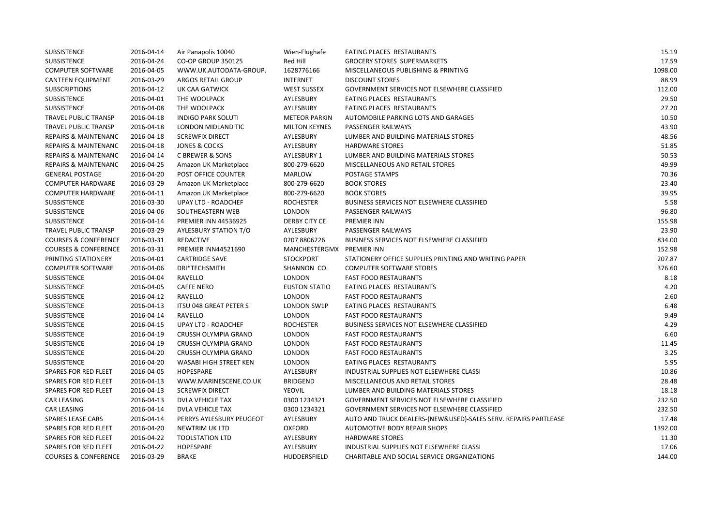| <b>SUBSISTENCE</b>              | 2016-04-14 | Air Panapolis 10040           | Wien-Flughafe        | EATING PLACES RESTAURANTS                                       | 15.19    |
|---------------------------------|------------|-------------------------------|----------------------|-----------------------------------------------------------------|----------|
| <b>SUBSISTENCE</b>              | 2016-04-24 | CO-OP GROUP 350125            | Red Hill             | GROCERY STORES SUPERMARKETS                                     | 17.59    |
| <b>COMPUTER SOFTWARE</b>        | 2016-04-05 | WWW.UK.AUTODATA-GROUP.        | 1628776166           | MISCELLANEOUS PUBLISHING & PRINTING                             | 1098.00  |
| <b>CANTEEN EQUIPMENT</b>        | 2016-03-29 | ARGOS RETAIL GROUP            | <b>INTERNET</b>      | <b>DISCOUNT STORES</b>                                          | 88.99    |
| <b>SUBSCRIPTIONS</b>            | 2016-04-12 | UK CAA GATWICK                | <b>WEST SUSSEX</b>   | GOVERNMENT SERVICES NOT ELSEWHERE CLASSIFIED                    | 112.00   |
| <b>SUBSISTENCE</b>              | 2016-04-01 | THE WOOLPACK                  | AYLESBURY            | EATING PLACES RESTAURANTS                                       | 29.50    |
| <b>SUBSISTENCE</b>              | 2016-04-08 | THE WOOLPACK                  | AYLESBURY            | EATING PLACES RESTAURANTS                                       | 27.20    |
| TRAVEL PUBLIC TRANSP            | 2016-04-18 | <b>INDIGO PARK SOLUTI</b>     | <b>METEOR PARKIN</b> | AUTOMOBILE PARKING LOTS AND GARAGES                             | 10.50    |
| TRAVEL PUBLIC TRANSP            | 2016-04-18 | LONDON MIDLAND TIC            | <b>MILTON KEYNES</b> | PASSENGER RAILWAYS                                              | 43.90    |
| <b>REPAIRS &amp; MAINTENANC</b> | 2016-04-18 | <b>SCREWFIX DIRECT</b>        | AYLESBURY            | LUMBER AND BUILDING MATERIALS STORES                            | 48.56    |
| <b>REPAIRS &amp; MAINTENANC</b> | 2016-04-18 | <b>JONES &amp; COCKS</b>      | AYLESBURY            | <b>HARDWARE STORES</b>                                          | 51.85    |
| <b>REPAIRS &amp; MAINTENANC</b> | 2016-04-14 | C BREWER & SONS               | <b>AYLESBURY 1</b>   | LUMBER AND BUILDING MATERIALS STORES                            | 50.53    |
| <b>REPAIRS &amp; MAINTENANC</b> | 2016-04-25 | Amazon UK Marketplace         | 800-279-6620         | MISCELLANEOUS AND RETAIL STORES                                 | 49.99    |
| <b>GENERAL POSTAGE</b>          | 2016-04-20 | POST OFFICE COUNTER           | <b>MARLOW</b>        | POSTAGE STAMPS                                                  | 70.36    |
| <b>COMPUTER HARDWARE</b>        | 2016-03-29 | Amazon UK Marketplace         | 800-279-6620         | <b>BOOK STORES</b>                                              | 23.40    |
| <b>COMPUTER HARDWARE</b>        | 2016-04-11 | Amazon UK Marketplace         | 800-279-6620         | <b>BOOK STORES</b>                                              | 39.95    |
| <b>SUBSISTENCE</b>              | 2016-03-30 | <b>UPAY LTD - ROADCHEF</b>    | <b>ROCHESTER</b>     | BUSINESS SERVICES NOT ELSEWHERE CLASSIFIED                      | 5.58     |
| <b>SUBSISTENCE</b>              | 2016-04-06 | SOUTHEASTERN WEB              | <b>LONDON</b>        | PASSENGER RAILWAYS                                              | $-96.80$ |
| <b>SUBSISTENCE</b>              | 2016-04-14 | <b>PREMIER INN 44536925</b>   | <b>DERBY CITY CE</b> | <b>PREMIER INN</b>                                              | 155.98   |
| TRAVEL PUBLIC TRANSP            | 2016-03-29 | <b>AYLESBURY STATION T/O</b>  | AYLESBURY            | PASSENGER RAILWAYS                                              | 23.90    |
| <b>COURSES &amp; CONFERENCE</b> | 2016-03-31 | <b>REDACTIVE</b>              | 0207 8806226         | <b>BUSINESS SERVICES NOT ELSEWHERE CLASSIFIED</b>               | 834.00   |
| <b>COURSES &amp; CONFERENCE</b> | 2016-03-31 | PREMIER INN44521690           | MANCHESTERGMX        | <b>PREMIER INN</b>                                              | 152.98   |
| PRINTING STATIONERY             | 2016-04-01 | <b>CARTRIDGE SAVE</b>         | <b>STOCKPORT</b>     | STATIONERY OFFICE SUPPLIES PRINTING AND WRITING PAPER           | 207.87   |
| <b>COMPUTER SOFTWARE</b>        | 2016-04-06 | DRI*TECHSMITH                 | SHANNON CO.          | <b>COMPUTER SOFTWARE STORES</b>                                 | 376.60   |
| <b>SUBSISTENCE</b>              | 2016-04-04 | RAVELLO                       | LONDON               | <b>FAST FOOD RESTAURANTS</b>                                    | 8.18     |
| <b>SUBSISTENCE</b>              | 2016-04-05 | <b>CAFFE NERO</b>             | <b>EUSTON STATIO</b> | EATING PLACES RESTAURANTS                                       | 4.20     |
| SUBSISTENCE                     | 2016-04-12 | RAVELLO                       | <b>LONDON</b>        | <b>FAST FOOD RESTAURANTS</b>                                    | 2.60     |
| SUBSISTENCE                     | 2016-04-13 | <b>ITSU 048 GREAT PETER S</b> | LONDON SW1P          | EATING PLACES RESTAURANTS                                       | 6.48     |
| SUBSISTENCE                     | 2016-04-14 | RAVELLO                       | LONDON               | <b>FAST FOOD RESTAURANTS</b>                                    | 9.49     |
| <b>SUBSISTENCE</b>              | 2016-04-15 | UPAY LTD - ROADCHEF           | <b>ROCHESTER</b>     | BUSINESS SERVICES NOT ELSEWHERE CLASSIFIED                      | 4.29     |
| SUBSISTENCE                     | 2016-04-19 | CRUSSH OLYMPIA GRAND          | <b>LONDON</b>        | <b>FAST FOOD RESTAURANTS</b>                                    | 6.60     |
| <b>SUBSISTENCE</b>              | 2016-04-19 | CRUSSH OLYMPIA GRAND          | LONDON               | <b>FAST FOOD RESTAURANTS</b>                                    | 11.45    |
| SUBSISTENCE                     | 2016-04-20 | CRUSSH OLYMPIA GRAND          | <b>LONDON</b>        | <b>FAST FOOD RESTAURANTS</b>                                    | 3.25     |
| SUBSISTENCE                     | 2016-04-20 | WASABI HIGH STREET KEN        | <b>LONDON</b>        | EATING PLACES RESTAURANTS                                       | 5.95     |
| SPARES FOR RED FLEET            | 2016-04-05 | <b>HOPESPARE</b>              | AYLESBURY            | INDUSTRIAL SUPPLIES NOT ELSEWHERE CLASSI                        | 10.86    |
| <b>SPARES FOR RED FLEET</b>     | 2016-04-13 | WWW.MARINESCENE.CO.UK         | <b>BRIDGEND</b>      | MISCELLANEOUS AND RETAIL STORES                                 | 28.48    |
| <b>SPARES FOR RED FLEET</b>     | 2016-04-13 | <b>SCREWFIX DIRECT</b>        | <b>YEOVIL</b>        | LUMBER AND BUILDING MATERIALS STORES                            | 18.18    |
| <b>CAR LEASING</b>              | 2016-04-13 | <b>DVLA VEHICLE TAX</b>       | 0300 1234321         | GOVERNMENT SERVICES NOT ELSEWHERE CLASSIFIED                    | 232.50   |
| <b>CAR LEASING</b>              | 2016-04-14 | <b>DVLA VEHICLE TAX</b>       | 0300 1234321         | GOVERNMENT SERVICES NOT ELSEWHERE CLASSIFIED                    | 232.50   |
| <b>SPARES LEASE CARS</b>        | 2016-04-14 | PERRYS AYLESBURY PEUGEOT      | AYLESBURY            | AUTO AND TRUCK DEALERS-(NEW&USED)-SALES SERV. REPAIRS PARTLEASE | 17.48    |
| SPARES FOR RED FLEET            | 2016-04-20 | NEWTRIM UK LTD                | <b>OXFORD</b>        | AUTOMOTIVE BODY REPAIR SHOPS                                    | 1392.00  |
| SPARES FOR RED FLEET            | 2016-04-22 | <b>TOOLSTATION LTD</b>        | AYLESBURY            | <b>HARDWARE STORES</b>                                          | 11.30    |
| <b>SPARES FOR RED FLEET</b>     | 2016-04-22 | <b>HOPESPARE</b>              | AYLESBURY            | INDUSTRIAL SUPPLIES NOT ELSEWHERE CLASSI                        | 17.06    |
| <b>COURSES &amp; CONFERENCE</b> | 2016-03-29 | <b>BRAKE</b>                  | <b>HUDDERSFIELD</b>  | CHARITABLE AND SOCIAL SERVICE ORGANIZATIONS                     | 144.00   |